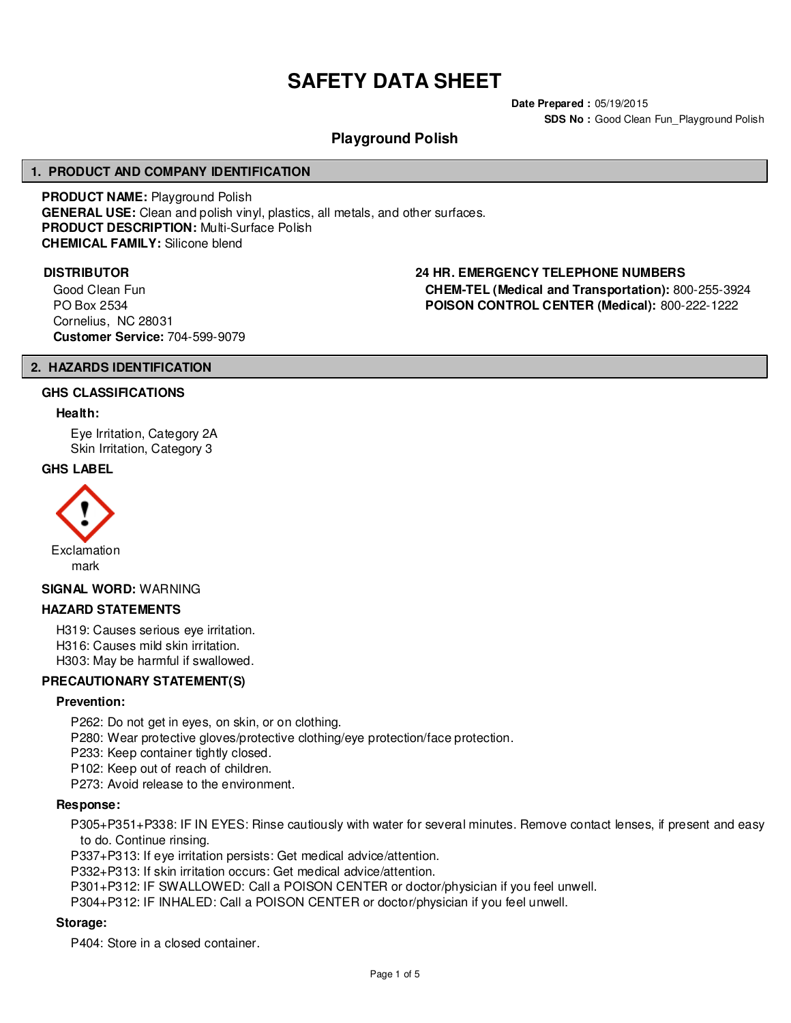# **SAFETY DATA SHEET**

**Date Prepared :** 05/19/2015 **SDS No : Good Clean Fun Playground Polish** 

# **Playground Polish**

# **1. PRODUCT AND COMPANY IDENTIFICATION**

**PRODUCT NAME:** Playground Polish **GENERAL USE:** Clean and polish vinyl, plastics, all metals, and other surfaces. **PRODUCT DESCRIPTION:** Multi-Surface Polish **CHEMICAL FAMILY:** Silicone blend

Good Clean Fun PO Box 2534 Cornelius, NC 28031 **Customer Service:** 704-599-9079

# **DISTRIBUTOR 24 HR. EMERGENCY TELEPHONE NUMBERS**

**CHEM-TEL (Medical and Transportation):** 800-255-3924 **POISON CONTROL CENTER (Medical):** 800-222-1222

#### **2. HAZARDS IDENTIFICATION**

#### **GHS CLASSIFICATIONS**

#### **Health:**

Eye Irritation, Category 2A Skin Irritation, Category 3

#### **GHS LABEL**



#### **SIGNAL WORD:** WARNING

#### **HAZARD STATEMENTS**

H319: Causes serious eye irritation.

H316: Causes mild skin irritation.

H303: May be harmful if swallowed.

# **PRECAUTIONARY STATEMENT(S)**

#### **Prevention:**

P262: Do not get in eyes, on skin, or on clothing.

P280: Wear protective gloves/protective clothing/eye protection/face protection.

P233: Keep container tightly closed.

P102: Keep out of reach of children.

P273: Avoid release to the environment.

#### **Response:**

P305+P351+P338: IF IN EYES: Rinse cautiously with water for several minutes. Remove contact lenses, if present and easy to do. Continue rinsing.

P337+P313: If eye irritation persists: Get medical advice/attention.

P332+P313: If skin irritation occurs: Get medical advice/attention.

P301+P312: IF SWALLOWED: Call a POISON CENTER or doctor/physician if you feel unwell.

P304+P312: IF INHALED: Call a POISON CENTER or doctor/physician if you feel unwell.

# **Storage:**

P404: Store in a closed container.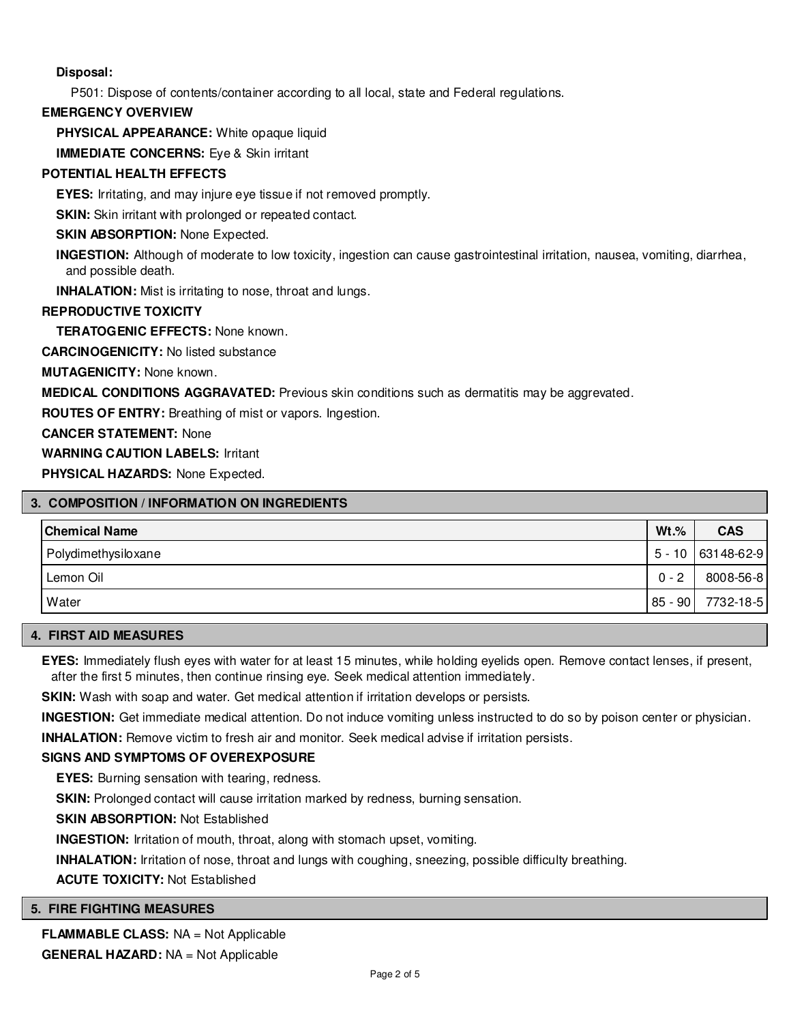# **Disposal:**

P501: Dispose of contents/container according to all local, state and Federal regulations.

# **EMERGENCY OVERVIEW**

**PHYSICAL APPEARANCE:** White opaque liquid

**IMMEDIATE CONCERNS:** Eve & Skin irritant

# **POTENTIAL HEALTH EFFECTS**

**EYES:** Irritating, and may injure eye tissue if not removed promptly.

**SKIN:** Skin irritant with prolonged or repeated contact.

# **SKIN ABSORPTION: None Expected.**

**INGESTION:** Although of moderate to low toxicity, ingestion can cause gastrointestinal irritation, nausea, vomiting, diarrhea, and possible death.

**INHALATION:** Mist is irritating to nose, throat and lungs.

# **REPRODUCTIVE TOXICITY**

**TERATOGENIC EFFECTS:** None known.

**CARCINOGENICITY:** No listed substance

**MUTAGENICITY:** None known.

**MEDICAL CONDITIONS AGGRAVATED:** Previous skin conditions such as dermatitis may be aggrevated.

**ROUTES OF ENTRY:** Breathing of mist or vapors. Ingestion.

**CANCER STATEMENT:** None

**WARNING CAUTION LABELS:** Irritant

**PHYSICAL HAZARDS:** None Expected.

# **3. COMPOSITION / INFORMATION ON INGREDIENTS**

| <b>Chemical Name</b> | $Wt.$ % | <b>CAS</b>        |
|----------------------|---------|-------------------|
| Polydimethysiloxane  |         | 5 - 10 63148-62-9 |
| Lemon Oil            | $0 - 2$ | 8008-56-8         |
| Water                | 85 - 90 | 7732-18-5         |

# **4. FIRST AID MEASURES**

**EYES:** Immediately flush eyes with water for at least 15 minutes, while holding eyelids open. Remove contact lenses, if present, after the first 5 minutes, then continue rinsing eye. Seek medical attention immediately.

**SKIN:** Wash with soap and water. Get medical attention if irritation develops or persists.

**INGESTION:** Get immediate medical attention. Do not induce vomiting unless instructed to do so by poison center or physician.

**INHALATION:** Remove victim to fresh air and monitor. Seek medical advise if irritation persists.

# **SIGNS AND SYMPTOMS OF OVEREXPOSURE**

**EYES:** Burning sensation with tearing, redness.

**SKIN:** Prolonged contact will cause irritation marked by redness, burning sensation.

**SKIN ABSORPTION:** Not Established

**INGESTION:** Irritation of mouth, throat, along with stomach upset, vomiting.

**INHALATION:** Irritation of nose, throat and lungs with coughing, sneezing, possible difficulty breathing.

**ACUTE TOXICITY:** Not Established

# **5. FIRE FIGHTING MEASURES**

**FLAMMABLE CLASS:** NA = Not Applicable **GENERAL HAZARD:** NA = Not Applicable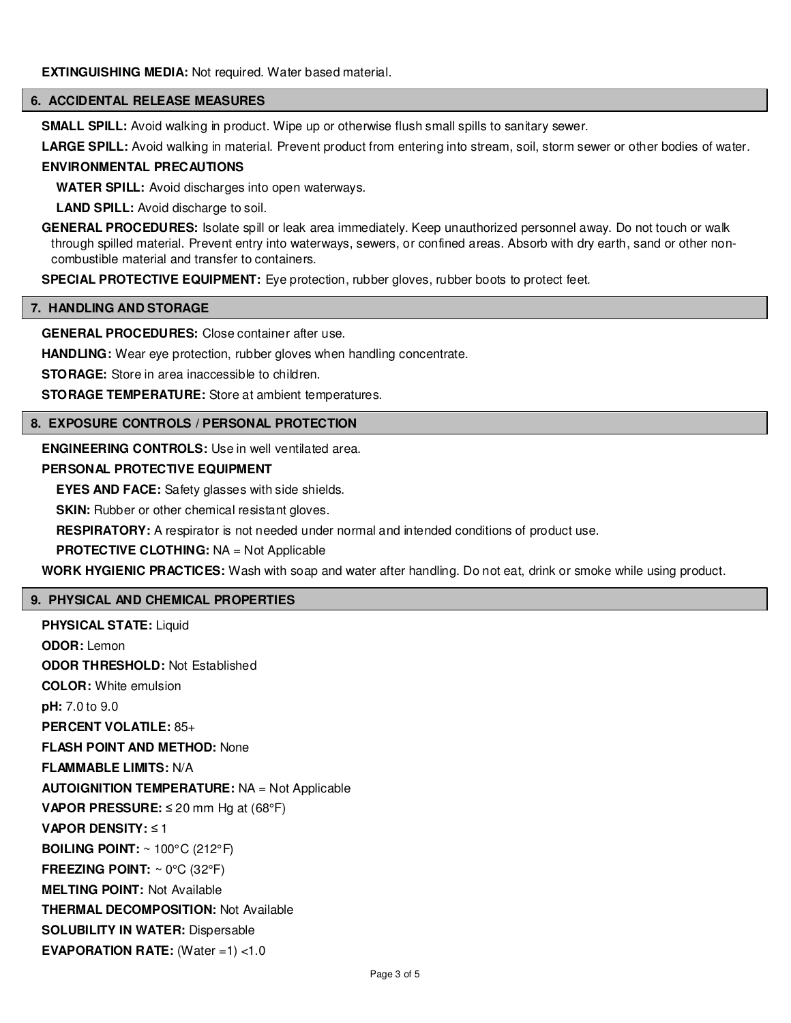#### **6. ACCIDENTAL RELEASE MEASURES**

**SMALL SPILL:** Avoid walking in product. Wipe up or otherwise flush small spills to sanitary sewer.

**LARGE SPILL:** Avoid walking in material. Prevent product from entering into stream, soil, storm sewer or other bodies of water.

#### **ENVIRONMENTAL PRECAUTIONS**

**WATER SPILL:** Avoid discharges into open waterways.

**LAND SPILL:** Avoid discharge to soil.

**GENERAL PROCEDURES:** Isolate spill or leak area immediately. Keep unauthorized personnel away. Do not touch or walk through spilled material. Prevent entry into waterways, sewers, or confined areas. Absorb with dry earth, sand or other noncombustible material and transfer to containers.

**SPECIAL PROTECTIVE EQUIPMENT:** Eye protection, rubber gloves, rubber boots to protect feet.

#### **7. HANDLING AND STORAGE**

**GENERAL PROCEDURES:** Close container after use.

**HANDLING:** Wear eye protection, rubber gloves when handling concentrate.

**STORAGE:** Store in area inaccessible to children.

**STORAGE TEMPERATURE:** Store at ambient temperatures.

#### **8. EXPOSURE CONTROLS / PERSONAL PROTECTION**

**ENGINEERING CONTROLS:** Use in well ventilated area.

# **PERSONAL PROTECTIVE EQUIPMENT**

**EYES AND FACE:** Safety glasses with side shields.

**SKIN:** Rubber or other chemical resistant gloves.

**RESPIRATORY:** A respirator is not needed under normal and intended conditions of product use.

#### **PROTECTIVE CLOTHING:** NA = Not Applicable

**WORK HYGIENIC PRACTICES:** Wash with soap and water after handling. Do not eat, drink or smoke while using product.

# **9. PHYSICAL AND CHEMICAL PROPERTIES**

**PHYSICAL STATE:** Liquid **ODOR:** Lemon **ODOR THRESHOLD:** Not Established **COLOR:** White emulsion **pH:** 7.0 to 9.0 **PERCENT VOLATILE:** 85+ **FLASH POINT AND METHOD:** None **FLAMMABLE LIMITS:** N/A **AUTOIGNITION TEMPERATURE:** NA = Not Applicable **VAPOR PRESSURE:** ≤ 20 mm Hg at (68°F) **VAPOR DENSITY:** ≤ 1 **BOILING POINT:** ~ 100°C (212°F) **FREEZING POINT:** ~ 0°C (32°F) **MELTING POINT:** Not Available **THERMAL DECOMPOSITION:** Not Available **SOLUBILITY IN WATER:** Dispersable **EVAPORATION RATE:** (Water =1) <1.0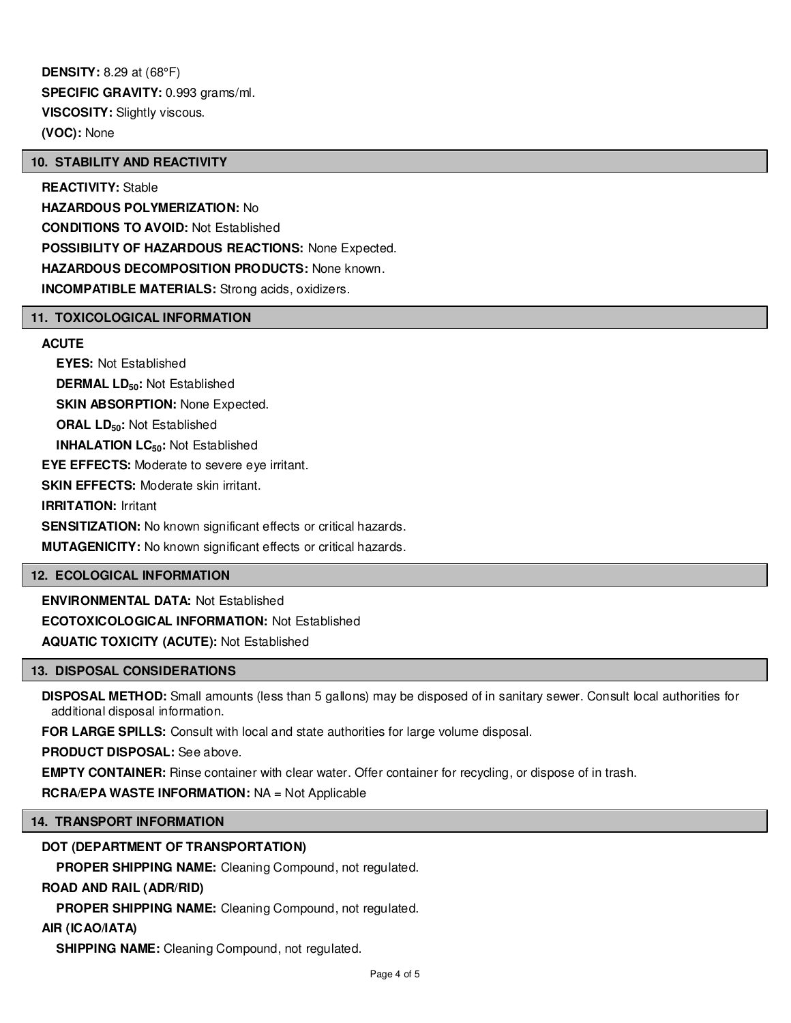**DENSITY:** 8.29 at (68°F) **SPECIFIC GRAVITY:** 0.993 grams/ml. **VISCOSITY:** Slightly viscous. **(VOC):** None

# **10. STABILITY AND REACTIVITY**

**REACTIVITY:** Stable **HAZARDOUS POLYMERIZATION:** No **CONDITIONS TO AVOID:** Not Established **POSSIBILITY OF HAZARDOUS REACTIONS:** None Expected. **HAZARDOUS DECOMPOSITION PRODUCTS:** None known. **INCOMPATIBLE MATERIALS:** Strong acids, oxidizers.

# **11. TOXICOLOGICAL INFORMATION**

# **ACUTE**

**EYES:** Not Established **DERMAL LD50:** Not Established **SKIN ABSORPTION: None Expected. ORAL LD50:** Not Established **INHALATION LC50:** Not Established **EYE EFFECTS:** Moderate to severe eye irritant. **SKIN EFFECTS: Moderate skin irritant. IRRITATION:** Irritant **SENSITIZATION:** No known significant effects or critical hazards. **MUTAGENICITY:** No known significant effects or critical hazards.

# **12. ECOLOGICAL INFORMATION**

**ENVIRONMENTAL DATA:** Not Established **ECOTOXICOLOGICAL INFORMATION:** Not Established **AQUATIC TOXICITY (ACUTE):** Not Established

# **13. DISPOSAL CONSIDERATIONS**

**DISPOSAL METHOD:** Small amounts (less than 5 gallons) may be disposed of in sanitary sewer. Consult local authorities for additional disposal information.

**FOR LARGE SPILLS:** Consult with local and state authorities for large volume disposal.

**PRODUCT DISPOSAL:** See above.

**EMPTY CONTAINER:** Rinse container with clear water. Offer container for recycling, or dispose of in trash.

**RCRA/EPA WASTE INFORMATION:** NA = Not Applicable

# **14. TRANSPORT INFORMATION**

# **DOT (DEPARTMENT OF TRANSPORTATION)**

**PROPER SHIPPING NAME:** Cleaning Compound, not regulated.

# **ROAD AND RAIL (ADR/RID)**

**PROPER SHIPPING NAME:** Cleaning Compound, not regulated.

# **AIR (ICAO/IATA)**

**SHIPPING NAME:** Cleaning Compound, not regulated.